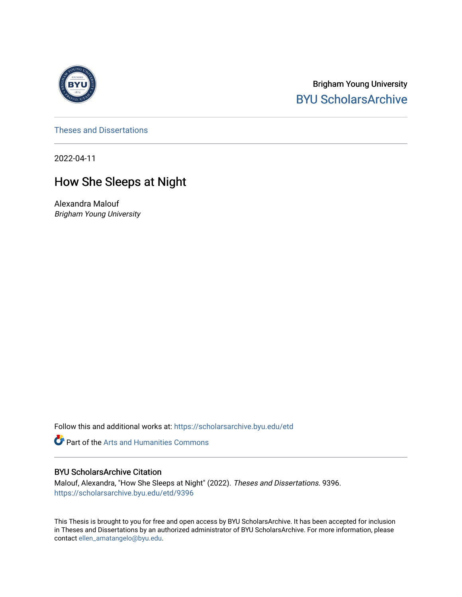

Brigham Young University [BYU ScholarsArchive](https://scholarsarchive.byu.edu/) 

[Theses and Dissertations](https://scholarsarchive.byu.edu/etd)

2022-04-11

# How She Sleeps at Night

Alexandra Malouf Brigham Young University

Follow this and additional works at: [https://scholarsarchive.byu.edu/etd](https://scholarsarchive.byu.edu/etd?utm_source=scholarsarchive.byu.edu%2Fetd%2F9396&utm_medium=PDF&utm_campaign=PDFCoverPages)

**Part of the Arts and Humanities Commons** 

#### BYU ScholarsArchive Citation

Malouf, Alexandra, "How She Sleeps at Night" (2022). Theses and Dissertations. 9396. [https://scholarsarchive.byu.edu/etd/9396](https://scholarsarchive.byu.edu/etd/9396?utm_source=scholarsarchive.byu.edu%2Fetd%2F9396&utm_medium=PDF&utm_campaign=PDFCoverPages) 

This Thesis is brought to you for free and open access by BYU ScholarsArchive. It has been accepted for inclusion in Theses and Dissertations by an authorized administrator of BYU ScholarsArchive. For more information, please contact [ellen\\_amatangelo@byu.edu.](mailto:ellen_amatangelo@byu.edu)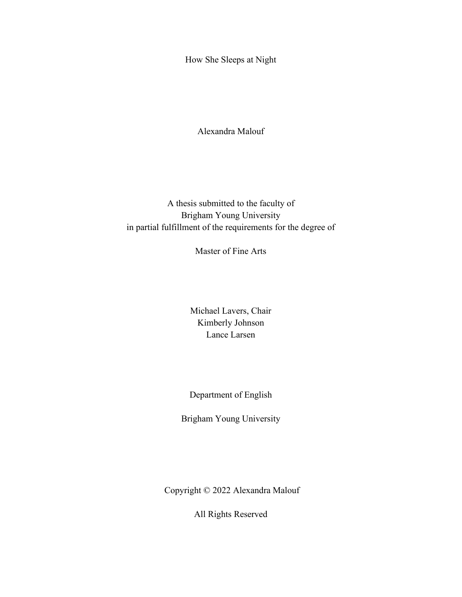<span id="page-1-0"></span>How She Sleeps at Night

Alexandra Malouf

A thesis submitted to the faculty of Brigham Young University in partial fulfillment of the requirements for the degree of

Master of Fine Arts

Michael Lavers, Chair Kimberly Johnson Lance Larsen

Department of English

Brigham Young University

Copyright © 2022 Alexandra Malouf

All Rights Reserved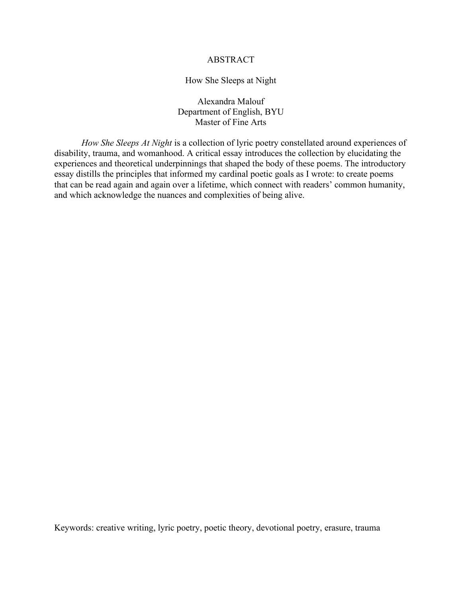#### ABSTRACT

#### How She Sleeps at Night

Alexandra Malouf Department of English, BYU Master of Fine Arts

<span id="page-2-0"></span>*How She Sleeps At Night* is a collection of lyric poetry constellated around experiences of disability, trauma, and womanhood. A critical essay introduces the collection by elucidating the experiences and theoretical underpinnings that shaped the body of these poems. The introductory essay distills the principles that informed my cardinal poetic goals as I wrote: to create poems that can be read again and again over a lifetime, which connect with readers' common humanity, and which acknowledge the nuances and complexities of being alive.

Keywords: creative writing, lyric poetry, poetic theory, devotional poetry, erasure, trauma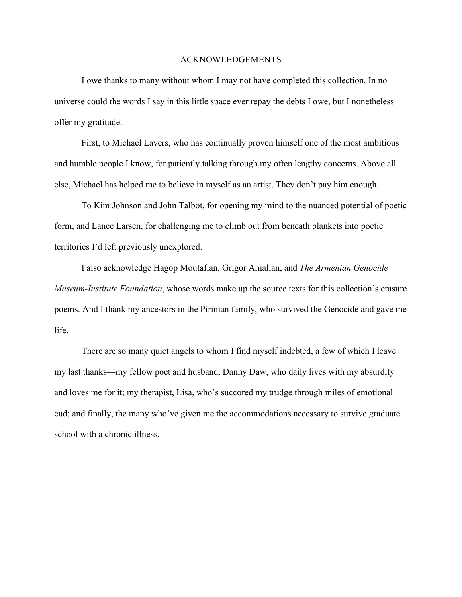#### ACKNOWLEDGEMENTS

<span id="page-3-0"></span>I owe thanks to many without whom I may not have completed this collection. In no universe could the words I say in this little space ever repay the debts I owe, but I nonetheless offer my gratitude.

First, to Michael Lavers, who has continually proven himself one of the most ambitious and humble people I know, for patiently talking through my often lengthy concerns. Above all else, Michael has helped me to believe in myself as an artist. They don't pay him enough.

To Kim Johnson and John Talbot, for opening my mind to the nuanced potential of poetic form, and Lance Larsen, for challenging me to climb out from beneath blankets into poetic territories I'd left previously unexplored.

I also acknowledge Hagop Moutafian, Grigor Amalian, and *The Armenian Genocide Museum-Institute Foundation*, whose words make up the source texts for this collection's erasure poems. And I thank my ancestors in the Pirinian family, who survived the Genocide and gave me life.

There are so many quiet angels to whom I find myself indebted, a few of which I leave my last thanks––my fellow poet and husband, Danny Daw, who daily lives with my absurdity and loves me for it; my therapist, Lisa, who's succored my trudge through miles of emotional cud; and finally, the many who've given me the accommodations necessary to survive graduate school with a chronic illness.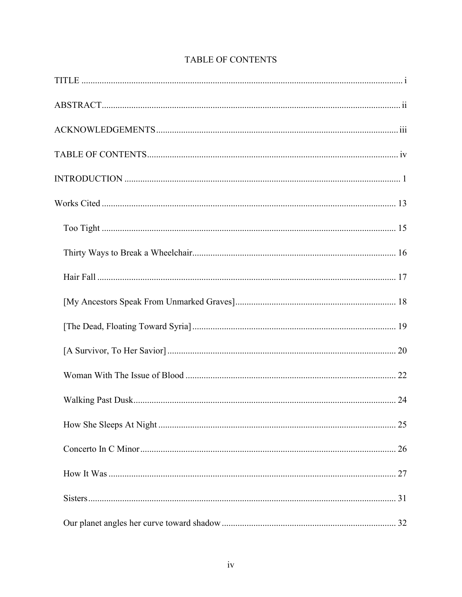<span id="page-4-0"></span>

# TABLE OF CONTENTS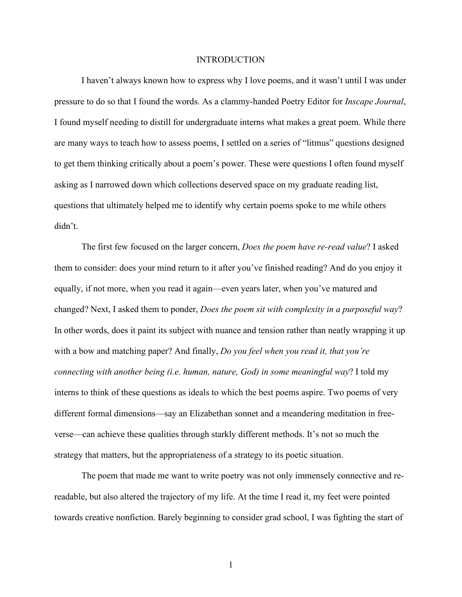#### INTRODUCTION

<span id="page-6-0"></span>I haven't always known how to express why I love poems, and it wasn't until I was under pressure to do so that I found the words. As a clammy-handed Poetry Editor for *Inscape Journal*, I found myself needing to distill for undergraduate interns what makes a great poem. While there are many ways to teach how to assess poems, I settled on a series of "litmus" questions designed to get them thinking critically about a poem's power. These were questions I often found myself asking as I narrowed down which collections deserved space on my graduate reading list, questions that ultimately helped me to identify why certain poems spoke to me while others didn't.

The first few focused on the larger concern, *Does the poem have re-read value*? I asked them to consider: does your mind return to it after you've finished reading? And do you enjoy it equally, if not more, when you read it again––even years later, when you've matured and changed? Next, I asked them to ponder, *Does the poem sit with complexity in a purposeful way*? In other words, does it paint its subject with nuance and tension rather than neatly wrapping it up with a bow and matching paper? And finally, *Do you feel when you read it, that you're connecting with another being (i.e. human, nature, God) in some meaningful way*? I told my interns to think of these questions as ideals to which the best poems aspire. Two poems of very different formal dimensions––say an Elizabethan sonnet and a meandering meditation in freeverse––can achieve these qualities through starkly different methods. It's not so much the strategy that matters, but the appropriateness of a strategy to its poetic situation.

The poem that made me want to write poetry was not only immensely connective and rereadable, but also altered the trajectory of my life. At the time I read it, my feet were pointed towards creative nonfiction. Barely beginning to consider grad school, I was fighting the start of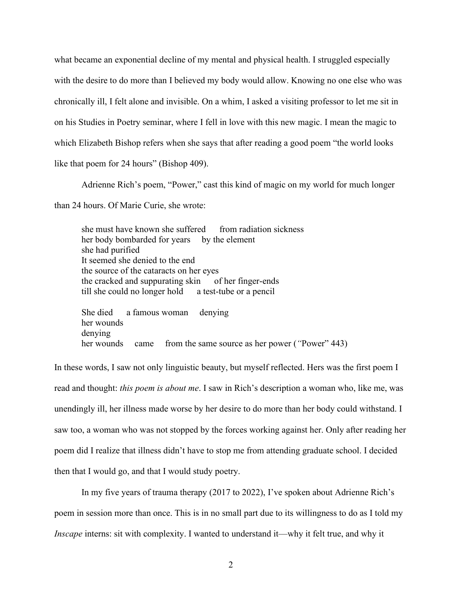what became an exponential decline of my mental and physical health. I struggled especially with the desire to do more than I believed my body would allow. Knowing no one else who was chronically ill, I felt alone and invisible. On a whim, I asked a visiting professor to let me sit in on his Studies in Poetry seminar, where I fell in love with this new magic. I mean the magic to which Elizabeth Bishop refers when she says that after reading a good poem "the world looks like that poem for 24 hours" (Bishop 409).

Adrienne Rich's poem, "Power," cast this kind of magic on my world for much longer

than 24 hours. Of Marie Curie, she wrote:

she must have known she suffered from radiation sickness her body bombarded for years by the element she had purified It seemed she denied to the end the source of the cataracts on her eyes the cracked and suppurating skin of her finger-ends till she could no longer hold a test-tube or a pencil

She died a famous woman denying her wounds denying her wounds came from the same source as her power (*"*Power" 443)

In these words, I saw not only linguistic beauty, but myself reflected. Hers was the first poem I read and thought: *this poem is about me*. I saw in Rich's description a woman who, like me, was unendingly ill, her illness made worse by her desire to do more than her body could withstand. I saw too, a woman who was not stopped by the forces working against her. Only after reading her poem did I realize that illness didn't have to stop me from attending graduate school. I decided then that I would go, and that I would study poetry.

In my five years of trauma therapy (2017 to 2022), I've spoken about Adrienne Rich's poem in session more than once. This is in no small part due to its willingness to do as I told my *Inscape* interns: sit with complexity. I wanted to understand it—why it felt true, and why it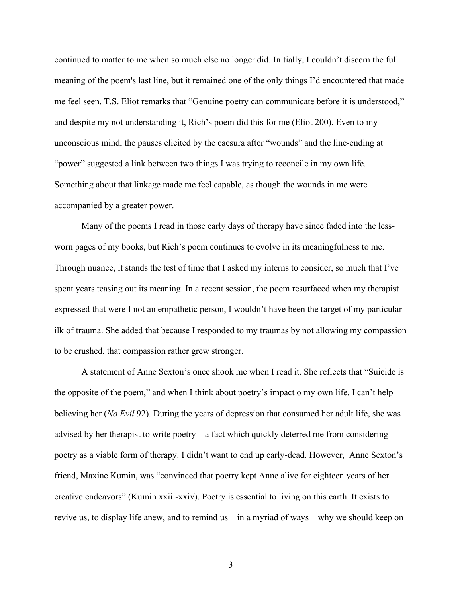continued to matter to me when so much else no longer did. Initially, I couldn't discern the full meaning of the poem's last line, but it remained one of the only things I'd encountered that made me feel seen. T.S. Eliot remarks that "Genuine poetry can communicate before it is understood," and despite my not understanding it, Rich's poem did this for me (Eliot 200). Even to my unconscious mind, the pauses elicited by the caesura after "wounds" and the line-ending at "power" suggested a link between two things I was trying to reconcile in my own life. Something about that linkage made me feel capable, as though the wounds in me were accompanied by a greater power.

Many of the poems I read in those early days of therapy have since faded into the lessworn pages of my books, but Rich's poem continues to evolve in its meaningfulness to me. Through nuance, it stands the test of time that I asked my interns to consider, so much that I've spent years teasing out its meaning. In a recent session, the poem resurfaced when my therapist expressed that were I not an empathetic person, I wouldn't have been the target of my particular ilk of trauma. She added that because I responded to my traumas by not allowing my compassion to be crushed, that compassion rather grew stronger.

A statement of Anne Sexton's once shook me when I read it. She reflects that "Suicide is the opposite of the poem," and when I think about poetry's impact o my own life, I can't help believing her (*No Evil* 92). During the years of depression that consumed her adult life, she was advised by her therapist to write poetry––a fact which quickly deterred me from considering poetry as a viable form of therapy. I didn't want to end up early-dead. However, Anne Sexton's friend, Maxine Kumin, was "convinced that poetry kept Anne alive for eighteen years of her creative endeavors" (Kumin xxiii-xxiv). Poetry is essential to living on this earth. It exists to revive us, to display life anew, and to remind us—in a myriad of ways—why we should keep on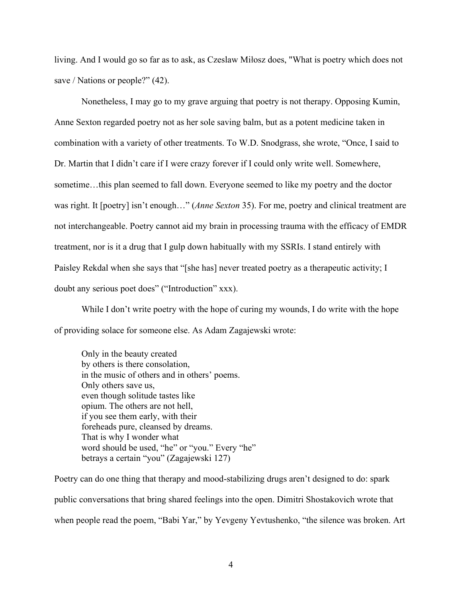living. And I would go so far as to ask, as Czeslaw Miłosz does, "What is poetry which does not save / Nations or people?" (42).

Nonetheless, I may go to my grave arguing that poetry is not therapy. Opposing Kumin, Anne Sexton regarded poetry not as her sole saving balm, but as a potent medicine taken in combination with a variety of other treatments. To W.D. Snodgrass, she wrote, "Once, I said to Dr. Martin that I didn't care if I were crazy forever if I could only write well. Somewhere, sometime…this plan seemed to fall down. Everyone seemed to like my poetry and the doctor was right. It [poetry] isn't enough…" (*Anne Sexton* 35). For me, poetry and clinical treatment are not interchangeable. Poetry cannot aid my brain in processing trauma with the efficacy of EMDR treatment, nor is it a drug that I gulp down habitually with my SSRIs. I stand entirely with Paisley Rekdal when she says that "[she has] never treated poetry as a therapeutic activity; I doubt any serious poet does" ("Introduction" xxx).

While I don't write poetry with the hope of curing my wounds, I do write with the hope of providing solace for someone else. As Adam Zagajewski wrote:

Only in the beauty created by others is there consolation, in the music of others and in others' poems. Only others save us, even though solitude tastes like opium. The others are not hell, if you see them early, with their foreheads pure, cleansed by dreams. That is why I wonder what word should be used, "he" or "you." Every "he" betrays a certain "you" (Zagajewski 127)

Poetry can do one thing that therapy and mood-stabilizing drugs aren't designed to do: spark public conversations that bring shared feelings into the open. Dimitri Shostakovich wrote that when people read the poem, "Babi Yar," by Yevgeny Yevtushenko, "the silence was broken. Art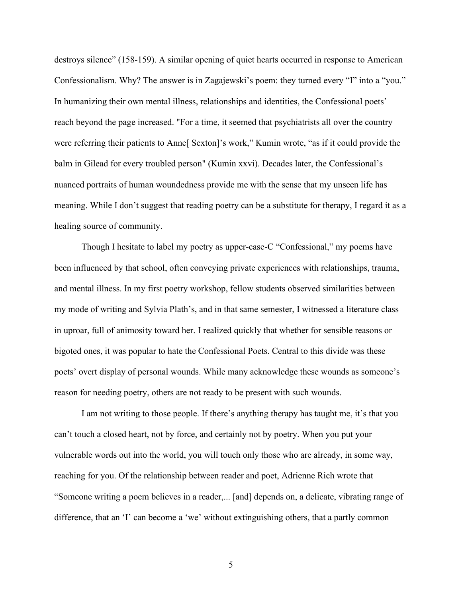destroys silence" (158-159). A similar opening of quiet hearts occurred in response to American Confessionalism. Why? The answer is in Zagajewski's poem: they turned every "I" into a "you." In humanizing their own mental illness, relationships and identities, the Confessional poets' reach beyond the page increased. "For a time, it seemed that psychiatrists all over the country were referring their patients to Anne[ Sexton]'s work," Kumin wrote, "as if it could provide the balm in Gilead for every troubled person" (Kumin xxvi). Decades later, the Confessional's nuanced portraits of human woundedness provide me with the sense that my unseen life has meaning. While I don't suggest that reading poetry can be a substitute for therapy, I regard it as a healing source of community.

Though I hesitate to label my poetry as upper-case-C "Confessional," my poems have been influenced by that school, often conveying private experiences with relationships, trauma, and mental illness. In my first poetry workshop, fellow students observed similarities between my mode of writing and Sylvia Plath's, and in that same semester, I witnessed a literature class in uproar, full of animosity toward her. I realized quickly that whether for sensible reasons or bigoted ones, it was popular to hate the Confessional Poets. Central to this divide was these poets' overt display of personal wounds. While many acknowledge these wounds as someone's reason for needing poetry, others are not ready to be present with such wounds.

I am not writing to those people. If there's anything therapy has taught me, it's that you can't touch a closed heart, not by force, and certainly not by poetry. When you put your vulnerable words out into the world, you will touch only those who are already, in some way, reaching for you. Of the relationship between reader and poet, Adrienne Rich wrote that "Someone writing a poem believes in a reader,... [and] depends on, a delicate, vibrating range of difference, that an 'I' can become a 'we' without extinguishing others, that a partly common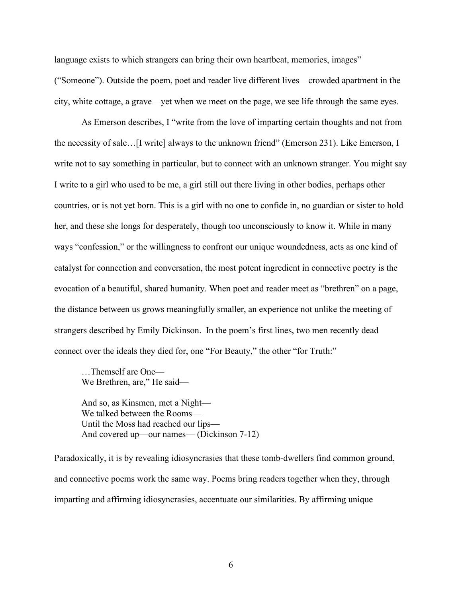language exists to which strangers can bring their own heartbeat, memories, images" ("Someone"). Outside the poem, poet and reader live different lives––crowded apartment in the city, white cottage, a grave––yet when we meet on the page, we see life through the same eyes.

As Emerson describes, I "write from the love of imparting certain thoughts and not from the necessity of sale…[I write] always to the unknown friend" (Emerson 231). Like Emerson, I write not to say something in particular, but to connect with an unknown stranger. You might say I write to a girl who used to be me, a girl still out there living in other bodies, perhaps other countries, or is not yet born. This is a girl with no one to confide in, no guardian or sister to hold her, and these she longs for desperately, though too unconsciously to know it. While in many ways "confession," or the willingness to confront our unique woundedness, acts as one kind of catalyst for connection and conversation, the most potent ingredient in connective poetry is the evocation of a beautiful, shared humanity. When poet and reader meet as "brethren" on a page, the distance between us grows meaningfully smaller, an experience not unlike the meeting of strangers described by Emily Dickinson. In the poem's first lines, two men recently dead connect over the ideals they died for, one "For Beauty," the other "for Truth:"

…Themself are One–– We Brethren, are," He said-

And so, as Kinsmen, met a Night-We talked between the Rooms— Until the Moss had reached our lips— And covered up—our names— (Dickinson 7-12)

Paradoxically, it is by revealing idiosyncrasies that these tomb-dwellers find common ground, and connective poems work the same way. Poems bring readers together when they, through imparting and affirming idiosyncrasies, accentuate our similarities. By affirming unique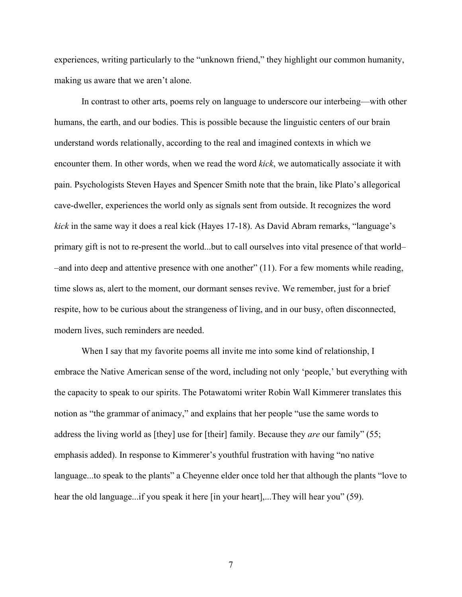experiences, writing particularly to the "unknown friend," they highlight our common humanity, making us aware that we aren't alone.

In contrast to other arts, poems rely on language to underscore our interbeing––with other humans, the earth, and our bodies. This is possible because the linguistic centers of our brain understand words relationally, according to the real and imagined contexts in which we encounter them. In other words, when we read the word *kick*, we automatically associate it with pain. Psychologists Steven Hayes and Spencer Smith note that the brain, like Plato's allegorical cave-dweller, experiences the world only as signals sent from outside. It recognizes the word *kick* in the same way it does a real kick (Hayes 17-18). As David Abram remarks, "language's primary gift is not to re-present the world...but to call ourselves into vital presence of that world– –and into deep and attentive presence with one another" (11). For a few moments while reading, time slows as, alert to the moment, our dormant senses revive. We remember, just for a brief respite, how to be curious about the strangeness of living, and in our busy, often disconnected, modern lives, such reminders are needed.

When I say that my favorite poems all invite me into some kind of relationship, I embrace the Native American sense of the word, including not only 'people,' but everything with the capacity to speak to our spirits. The Potawatomi writer Robin Wall Kimmerer translates this notion as "the grammar of animacy," and explains that her people "use the same words to address the living world as [they] use for [their] family. Because they *are* our family" (55; emphasis added). In response to Kimmerer's youthful frustration with having "no native language...to speak to the plants" a Cheyenne elder once told her that although the plants "love to hear the old language...if you speak it here [in your heart],...They will hear you" (59).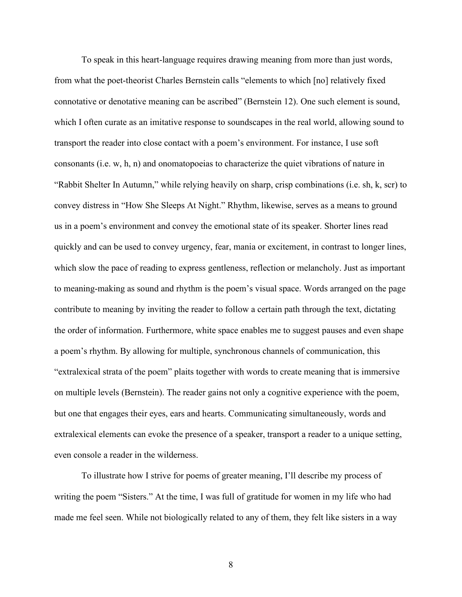To speak in this heart-language requires drawing meaning from more than just words, from what the poet-theorist Charles Bernstein calls "elements to which [no] relatively fixed connotative or denotative meaning can be ascribed" (Bernstein 12). One such element is sound, which I often curate as an imitative response to soundscapes in the real world, allowing sound to transport the reader into close contact with a poem's environment. For instance, I use soft consonants (i.e. w, h, n) and onomatopoeias to characterize the quiet vibrations of nature in "Rabbit Shelter In Autumn," while relying heavily on sharp, crisp combinations (i.e. sh, k, scr) to convey distress in "How She Sleeps At Night." Rhythm, likewise, serves as a means to ground us in a poem's environment and convey the emotional state of its speaker. Shorter lines read quickly and can be used to convey urgency, fear, mania or excitement, in contrast to longer lines, which slow the pace of reading to express gentleness, reflection or melancholy. Just as important to meaning-making as sound and rhythm is the poem's visual space. Words arranged on the page contribute to meaning by inviting the reader to follow a certain path through the text, dictating the order of information. Furthermore, white space enables me to suggest pauses and even shape a poem's rhythm. By allowing for multiple, synchronous channels of communication, this "extralexical strata of the poem" plaits together with words to create meaning that is immersive on multiple levels (Bernstein). The reader gains not only a cognitive experience with the poem, but one that engages their eyes, ears and hearts. Communicating simultaneously, words and extralexical elements can evoke the presence of a speaker, transport a reader to a unique setting, even console a reader in the wilderness.

To illustrate how I strive for poems of greater meaning, I'll describe my process of writing the poem "Sisters." At the time, I was full of gratitude for women in my life who had made me feel seen. While not biologically related to any of them, they felt like sisters in a way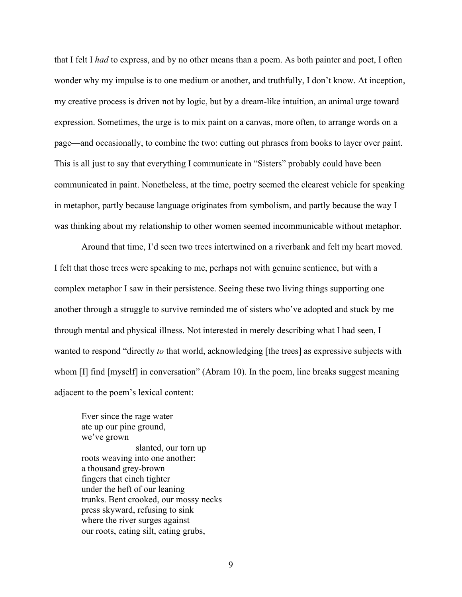that I felt I *had* to express, and by no other means than a poem. As both painter and poet, I often wonder why my impulse is to one medium or another, and truthfully, I don't know. At inception, my creative process is driven not by logic, but by a dream-like intuition, an animal urge toward expression. Sometimes, the urge is to mix paint on a canvas, more often, to arrange words on a page––and occasionally, to combine the two: cutting out phrases from books to layer over paint. This is all just to say that everything I communicate in "Sisters" probably could have been communicated in paint. Nonetheless, at the time, poetry seemed the clearest vehicle for speaking in metaphor, partly because language originates from symbolism, and partly because the way I was thinking about my relationship to other women seemed incommunicable without metaphor.

Around that time, I'd seen two trees intertwined on a riverbank and felt my heart moved. I felt that those trees were speaking to me, perhaps not with genuine sentience, but with a complex metaphor I saw in their persistence. Seeing these two living things supporting one another through a struggle to survive reminded me of sisters who've adopted and stuck by me through mental and physical illness. Not interested in merely describing what I had seen, I wanted to respond "directly *to* that world, acknowledging [the trees] as expressive subjects with whom [I] find [myself] in conversation" (Abram 10). In the poem, line breaks suggest meaning adjacent to the poem's lexical content:

Ever since the rage water ate up our pine ground, we've grown slanted, our torn up roots weaving into one another: a thousand grey-brown fingers that cinch tighter under the heft of our leaning trunks. Bent crooked, our mossy necks press skyward, refusing to sink where the river surges against our roots, eating silt, eating grubs,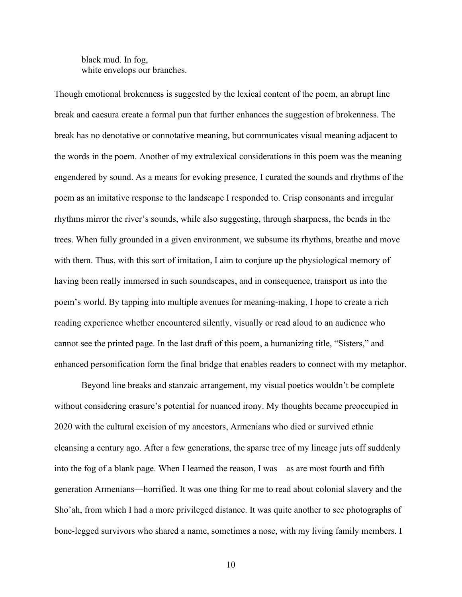black mud. In fog, white envelops our branches.

Though emotional brokenness is suggested by the lexical content of the poem, an abrupt line break and caesura create a formal pun that further enhances the suggestion of brokenness. The break has no denotative or connotative meaning, but communicates visual meaning adjacent to the words in the poem. Another of my extralexical considerations in this poem was the meaning engendered by sound. As a means for evoking presence, I curated the sounds and rhythms of the poem as an imitative response to the landscape I responded to. Crisp consonants and irregular rhythms mirror the river's sounds, while also suggesting, through sharpness, the bends in the trees. When fully grounded in a given environment, we subsume its rhythms, breathe and move with them. Thus, with this sort of imitation, I aim to conjure up the physiological memory of having been really immersed in such soundscapes, and in consequence, transport us into the poem's world. By tapping into multiple avenues for meaning-making, I hope to create a rich reading experience whether encountered silently, visually or read aloud to an audience who cannot see the printed page. In the last draft of this poem, a humanizing title, "Sisters," and enhanced personification form the final bridge that enables readers to connect with my metaphor.

Beyond line breaks and stanzaic arrangement, my visual poetics wouldn't be complete without considering erasure's potential for nuanced irony. My thoughts became preoccupied in 2020 with the cultural excision of my ancestors, Armenians who died or survived ethnic cleansing a century ago. After a few generations, the sparse tree of my lineage juts off suddenly into the fog of a blank page. When I learned the reason, I was––as are most fourth and fifth generation Armenians––horrified. It was one thing for me to read about colonial slavery and the Sho'ah, from which I had a more privileged distance. It was quite another to see photographs of bone-legged survivors who shared a name, sometimes a nose, with my living family members. I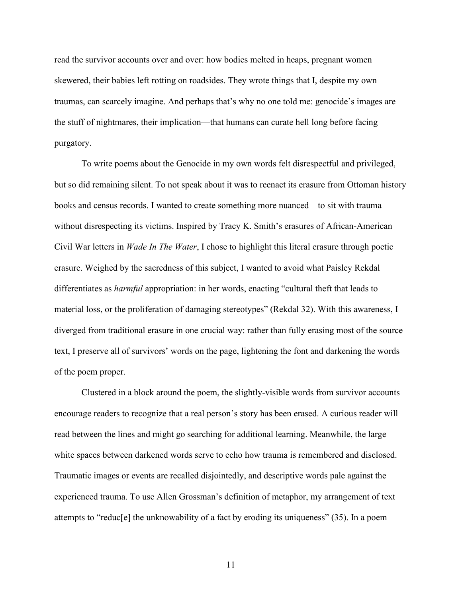read the survivor accounts over and over: how bodies melted in heaps, pregnant women skewered, their babies left rotting on roadsides. They wrote things that I, despite my own traumas, can scarcely imagine. And perhaps that's why no one told me: genocide's images are the stuff of nightmares, their implication––that humans can curate hell long before facing purgatory.

To write poems about the Genocide in my own words felt disrespectful and privileged, but so did remaining silent. To not speak about it was to reenact its erasure from Ottoman history books and census records. I wanted to create something more nuanced––to sit with trauma without disrespecting its victims. Inspired by Tracy K. Smith's erasures of African-American Civil War letters in *Wade In The Water*, I chose to highlight this literal erasure through poetic erasure. Weighed by the sacredness of this subject, I wanted to avoid what Paisley Rekdal differentiates as *harmful* appropriation: in her words, enacting "cultural theft that leads to material loss, or the proliferation of damaging stereotypes" (Rekdal 32). With this awareness, I diverged from traditional erasure in one crucial way: rather than fully erasing most of the source text, I preserve all of survivors' words on the page, lightening the font and darkening the words of the poem proper.

Clustered in a block around the poem, the slightly-visible words from survivor accounts encourage readers to recognize that a real person's story has been erased. A curious reader will read between the lines and might go searching for additional learning. Meanwhile, the large white spaces between darkened words serve to echo how trauma is remembered and disclosed. Traumatic images or events are recalled disjointedly, and descriptive words pale against the experienced trauma. To use Allen Grossman's definition of metaphor, my arrangement of text attempts to "reduc[e] the unknowability of a fact by eroding its uniqueness" (35). In a poem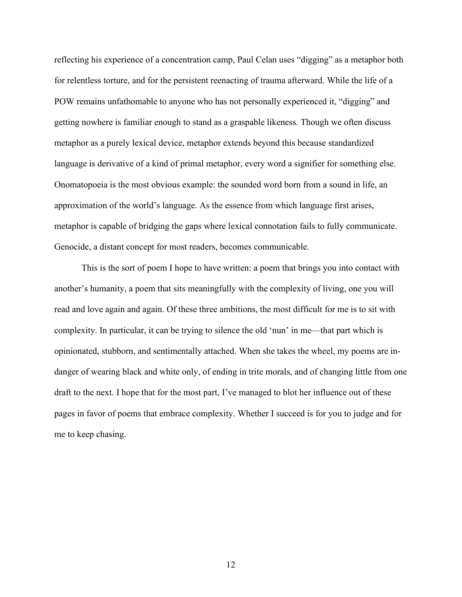reflecting his experience of a concentration camp, Paul Celan uses "digging" as a metaphor both for relentless torture, and for the persistent reenacting of trauma afterward. While the life of a POW remains unfathomable to anyone who has not personally experienced it, "digging" and getting nowhere is familiar enough to stand as a graspable likeness. Though we often discuss metaphor as a purely lexical device, metaphor extends beyond this because standardized language is derivative of a kind of primal metaphor, every word a signifier for something else. Onomatopoeia is the most obvious example: the sounded word born from a sound in life, an approximation of the world's language. As the essence from which language first arises, metaphor is capable of bridging the gaps where lexical connotation fails to fully communicate. Genocide, a distant concept for most readers, becomes communicable.

This is the sort of poem I hope to have written: a poem that brings you into contact with another's humanity, a poem that sits meaningfully with the complexity of living, one you will read and love again and again. Of these three ambitions, the most difficult for me is to sit with complexity. In particular, it can be trying to silence the old 'nun' in me––that part which is opinionated, stubborn, and sentimentally attached. When she takes the wheel, my poems are indanger of wearing black and white only, of ending in trite morals, and of changing little from one draft to the next. I hope that for the most part, I've managed to blot her influence out of these pages in favor of poems that embrace complexity. Whether I succeed is for you to judge and for me to keep chasing.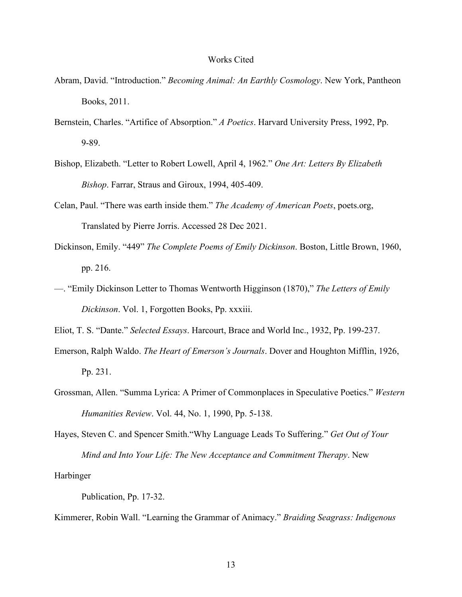#### Works Cited

- <span id="page-18-0"></span>Abram, David. "Introduction." *Becoming Animal: An Earthly Cosmology*. New York, Pantheon Books, 2011.
- Bernstein, Charles. "Artifice of Absorption." *A Poetics*. Harvard University Press, 1992, Pp. 9-89.
- Bishop, Elizabeth. "Letter to Robert Lowell, April 4, 1962." *[One Art: Letters By Elizabeth](https://www.amazon.com/One-Art-Letters-Elizabeth-Bishop/dp/0374524459)  [Bishop](https://www.amazon.com/One-Art-Letters-Elizabeth-Bishop/dp/0374524459)*. Farrar, Straus and Giroux, 1994, 405-409.
- Celan, Paul. "There was earth inside them." *The Academy of American Poets*, poets.org, Translated by Pierre Jorris. Accessed 28 Dec 2021.
- Dickinson, Emily. "449" *The Complete Poems of Emily Dickinson*. Boston, Little Brown, 1960, pp. 216.
- ––. "Emily Dickinson Letter to Thomas Wentworth Higginson (1870)," *The Letters of Emily Dickinson*. Vol. 1, Forgotten Books, Pp. xxxiii.
- Eliot, T. S. "Dante." *Selected Essays*. Harcourt, Brace and World Inc., 1932, Pp. 199-237.
- Emerson, Ralph Waldo. *The Heart of Emerson's Journals*. Dover and Houghton Mifflin, 1926, Pp. 231.
- Grossman, Allen. "Summa Lyrica: A Primer of Commonplaces in Speculative Poetics." *Western Humanities Review*. Vol. 44, No. 1, 1990, Pp. 5-138.
- Hayes, Steven C. and Spencer Smith."Why Language Leads To Suffering." *Get Out of Your Mind and Into Your Life: The New Acceptance and Commitment Therapy*. New

Harbinger

Publication, Pp. 17-32.

Kimmerer, Robin Wall. "Learning the Grammar of Animacy." *Braiding Seagrass: Indigenous*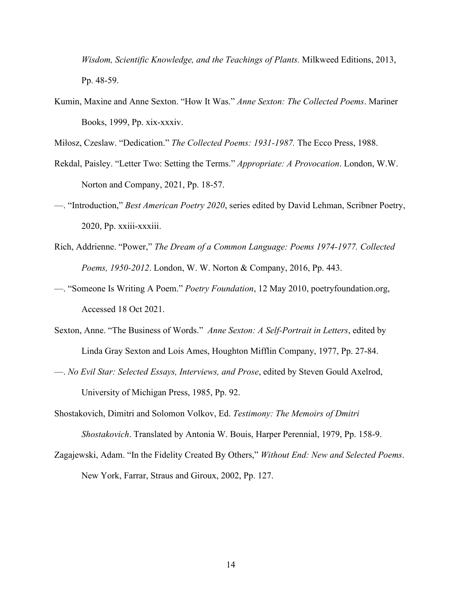*Wisdom, Scientific Knowledge, and the Teachings of Plants.* Milkweed Editions, 2013, Pp. 48-59.

Kumin, Maxine and Anne Sexton. "How It Was." *Anne Sexton: The Collected Poems*. Mariner Books, 1999, Pp. xix-xxxiv.

Miłosz, Czeslaw. "Dedication." *The Collected Poems: 1931-1987.* The Ecco Press, 1988.

- Rekdal, Paisley. "Letter Two: Setting the Terms." *Appropriate: A Provocation*. London, W.W. Norton and Company, 2021, Pp. 18-57.
- ––. "Introduction," *Best American Poetry 2020*, series edited by David Lehman, Scribner Poetry, 2020, Pp. xxiii-xxxiii.
- Rich, Addrienne. "Power," *The Dream of a Common Language: Poems 1974-1977. Collected Poems, 1950-2012*. London, W. W. Norton & Company, 2016, Pp. 443.
- ––. "Someone Is Writing A Poem." *Poetry Foundation*, 12 May 2010, poetryfoundation.org, Accessed 18 Oct 2021.
- Sexton, Anne. "The Business of Words." *Anne Sexton: A Self-Portrait in Letters*, edited by Linda Gray Sexton and Lois Ames, Houghton Mifflin Company, 1977, Pp. 27-84.
- ––. *No Evil Star: Selected Essays, Interviews, and Prose*, edited by Steven Gould Axelrod, University of Michigan Press, 1985, Pp. 92.
- Shostakovich, Dimitri and Solomon Volkov, Ed. *Testimony: The Memoirs of Dmitri Shostakovich*. Translated by Antonia W. Bouis, Harper Perennial, 1979, Pp. 158-9.
- Zagajewski, Adam. "In the Fidelity Created By Others," *Without End: New and Selected Poems*. New York, Farrar, Straus and Giroux, 2002, Pp. 127.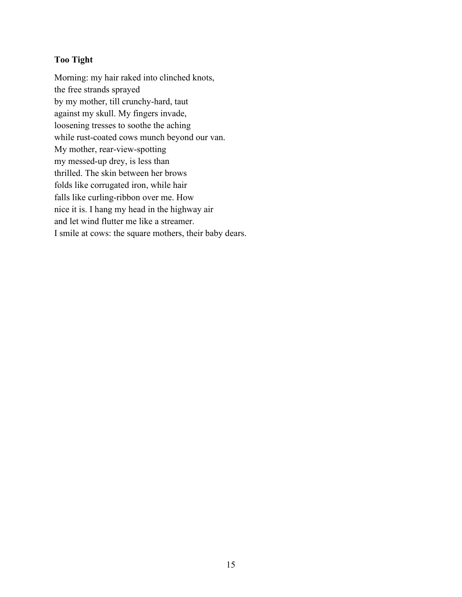# <span id="page-20-0"></span>**Too Tight**

Morning: my hair raked into clinched knots, the free strands sprayed by my mother, till crunchy-hard, taut against my skull. My fingers invade, loosening tresses to soothe the aching while rust-coated cows munch beyond our van. My mother, rear-view-spotting my messed-up drey, is less than thrilled. The skin between her brows folds like corrugated iron, while hair falls like curling-ribbon over me. How nice it is. I hang my head in the highway air and let wind flutter me like a streamer. I smile at cows: the square mothers, their baby dears.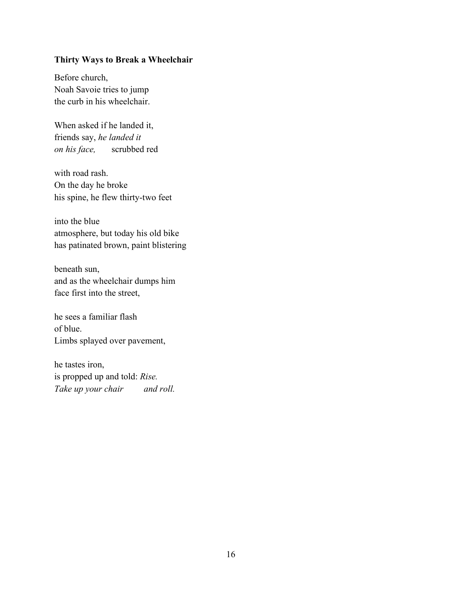# <span id="page-21-0"></span>**Thirty Ways to Break a Wheelchair**

Before church, Noah Savoie tries to jump the curb in his wheelchair.

When asked if he landed it, friends say, *he landed it on his face,* scrubbed red

with road rash. On the day he broke his spine, he flew thirty-two feet

into the blue atmosphere, but today his old bike has patinated brown, paint blistering

beneath sun, and as the wheelchair dumps him face first into the street,

he sees a familiar flash of blue. Limbs splayed over pavement,

he tastes iron, is propped up and told: *Rise. Take up your chair and roll.*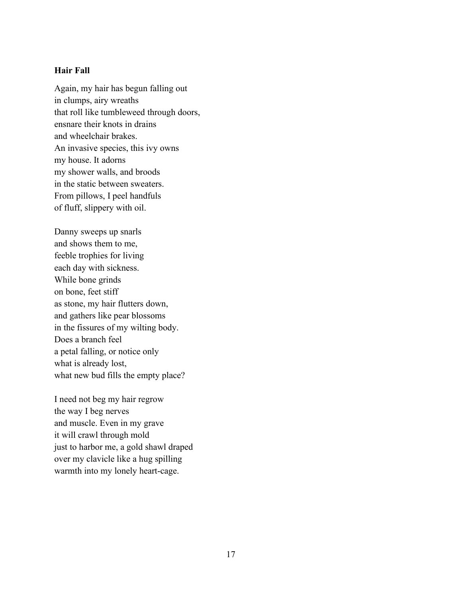### <span id="page-22-0"></span>**Hair Fall**

Again, my hair has begun falling out in clumps, airy wreaths that roll like tumbleweed through doors, ensnare their knots in drains and wheelchair brakes. An invasive species, this ivy owns my house. It adorns my shower walls, and broods in the static between sweaters. From pillows, I peel handfuls of fluff, slippery with oil.

Danny sweeps up snarls and shows them to me, feeble trophies for living each day with sickness. While bone grinds on bone, feet stiff as stone, my hair flutters down, and gathers like pear blossoms in the fissures of my wilting body. Does a branch feel a petal falling, or notice only what is already lost, what new bud fills the empty place?

I need not beg my hair regrow the way I beg nerves and muscle. Even in my grave it will crawl through mold just to harbor me, a gold shawl draped over my clavicle like a hug spilling warmth into my lonely heart-cage.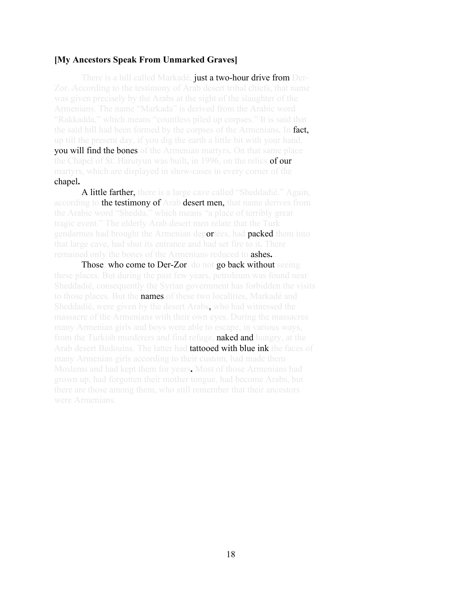#### <span id="page-23-0"></span>**[My Ancestors Speak From Unmarked Graves]**

There is a hill called Markadé, just a two-hour drive from Der-Zor. According to the testimony of Arab desert tribal chiefs, that name Armenians. The name "Markada" is derived from the Arabic word the said hill had been formed by the corpses of the Armenians**.** In fact, you will find the bones of the Armenian martyrs**.** On that same place the Chapel of St. Harutyun was built**,** in 1996, on the relics of our chapel**.** 

A little farther, there is a large cave called "Sheddadié." Again, according to the testimony of Arab desert men, that name derives from gendarmes had brought the Armenian deportees, had packed them into remained only the bones of the Armenians reduced to ashes**.**..

Those, who come to Der-Zor, do not go back without seeing to those places. But the **names** of these two localities, Markadé and Sheddadié, were given by the desert Arabs, who had witnessed the from the Turkish murderers and find refuge, **naked and** hungry, at the Arab desert Bedouins. The latter had **tattooed with blue ink** the faces of Moslems and had kept them for years**.** Most of those Armenians had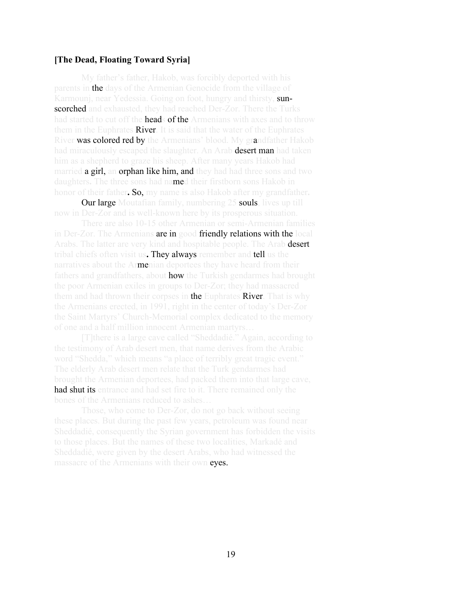#### <span id="page-24-0"></span>**[The Dead, Floating Toward Syria]**

My father's father, Hakob, was forcibly deported with his parents in the days of the Armenian Genocide from the village of Karmounj, near Yedessia. Going on foot, hungry and thirsty, sunscorched and exhausted, they had reached Der-Zor. There the Turks had started to cut off the **heads of the** Armenians with axes and to throw them in the Euphrates **River**. It is said that the water of the Euphrates River was colored red by the Armenians' blood. My grandfather Hakob had miraculously escaped the slaughter. An Arab **desert man** had taken married **a girl, an orphan like him, and they** had had three sons and two daughters**.** The three sons had named their firstborn sons Hakob in honor of their father**.** So, my name is also Hakob after my grandfather**.** 

**Our large** Moutafian family, numbering 25 **souls**, lives up till

in Der-Zor. The Armenians are in good friendly relations with the local Arabs. The latter are very kind and hospitable people. The Arab **desert** tribal chiefs often visit us**.** They always remember and tell us the narratives about the Armenian deportees they have heard from their fathers and grandfathers, about **how** the Turkish gendarmes had brought them and had thrown their corpses in the Euphrates River. That is why the Saint Martyrs' Church-Memorial complex dedicated to the memory

the testimony of Arab desert men, that name derives from the Arabic The elderly Arab desert men relate that the Turk gendarmes had had shut its entrance and had set fire to it. There remained only the

to those places. But the names of these two localities, Markadé and massacre of the Armenians with their own eyes.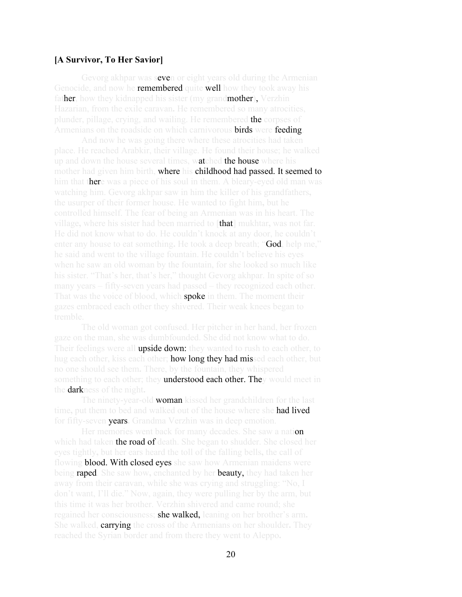#### <span id="page-25-0"></span>**[A Survivor, To Her Savior]**

Gevorg akhpar was seven or eight years old during the Armenian Genocide, and now he **remembered** quite **well** how they took away his father, how they kidnapped his sister (my grandmother), Verzhin plunder, pillage, crying, and wailing. He remembered the corpses of Armenians on the roadside on which carnivorous **birds** were feeding.

up and down the house several times, watched the house where his mother had given him birth, where his childhood had passed. It seemed to him that there was a piece of his soul in them. A bleary-eyed old man was village**,** where his sister had been married to [that] mukhtar**,** was not far. enter any house to eat something**.** He took a deep breath; "God, help me," That was the voice of blood, which **spoke** in them. The moment their

The old woman got confused. Her pitcher in her hand, her frozen Their feelings were all upside down: they wanted to rush to each other, to hug each other, kiss each other; **how long they had missed** each other, but something to each other; they understood each other. They would meet in the darkness of the night**.** 

The ninety-year-old woman kissed her grandchildren for the last time**,** put them to bed and walked out of the house where she had lived for fifty-seven years**.** Grandma Verzhin was in deep emotion.

Her memories went back for many decades. She saw a nation which had taken **the road of death**. She began to shudder. She closed her flowing **blood. With closed eyes** she saw how Armenian maidens were being raped. She saw how**,** enchanted by her beauty, they had taken her away from their caravan, while she was crying and struggling: "No, I this time it was her brother. Verzhin shivered and came round; she regained her consciousness; she walked, leaning on her brother's arm**.** She walked, carrying the cross of the Armenians on her shoulder**.** They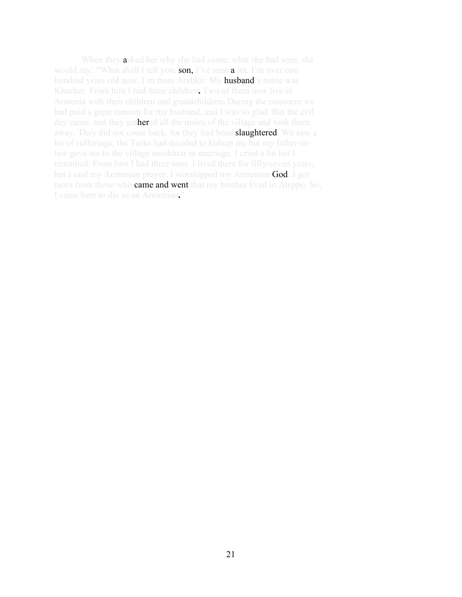When they asked her why she had come, what she had seen, she would say: "What shall I tell you, son, I've seen a lot**.** I'm over one hundred years old now. I'm from Arabkir. My **husband**'s name was Khacher. From him I had three children**.** Two of them now live in Armenia with their children and grandchildren**.** During the massacre we day came, and they gathered all the males of the village and took them away**.** They did not come back, for they had been slaughtered. We saw a law gave me to the village moukhtar in marriage. I cried a lot but I but I said my Armenian prayer, I worshipped my Armenian God. I got news from those who **came and went** that my brother lived in Aleppo. So, I came here to die as an Armenian**.**"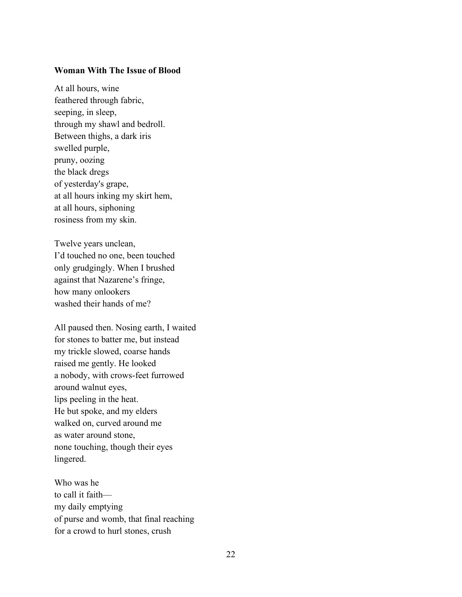#### <span id="page-27-0"></span>**Woman With The Issue of Blood**

At all hours, wine feathered through fabric, seeping, in sleep, through my shawl and bedroll. Between thighs, a dark iris swelled purple, pruny, oozing the black dregs of yesterday's grape, at all hours inking my skirt hem, at all hours, siphoning rosiness from my skin.

Twelve years unclean, I'd touched no one, been touched only grudgingly. When I brushed against that Nazarene's fringe, how many onlookers washed their hands of me?

All paused then. Nosing earth, I waited for stones to batter me, but instead my trickle slowed, coarse hands raised me gently. He looked a nobody, with crows-feet furrowed around walnut eyes, lips peeling in the heat. He but spoke, and my elders walked on, curved around me as water around stone, none touching, though their eyes lingered.

Who was he to call it faith my daily emptying of purse and womb, that final reaching for a crowd to hurl stones, crush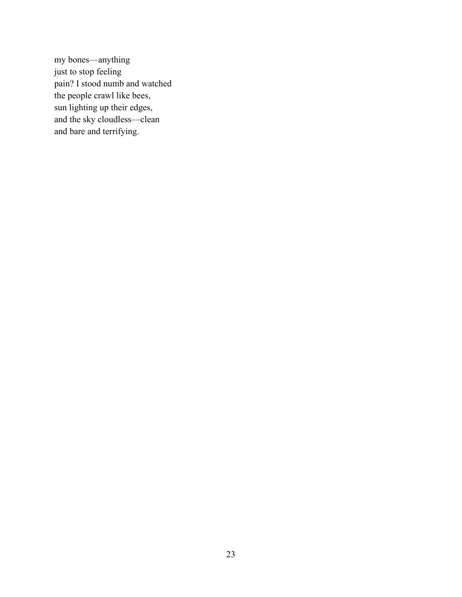my bones––anything just to stop feeling pain? I stood numb and watched the people crawl like bees, sun lighting up their edges, and the sky cloudless––clean and bare and terrifying.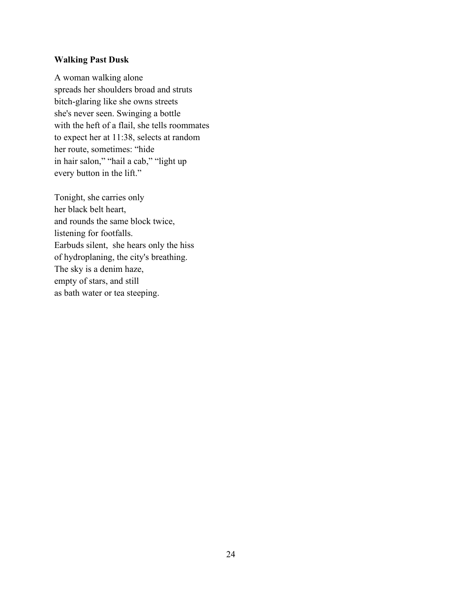# <span id="page-29-0"></span>**Walking Past Dusk**

A woman walking alone spreads her shoulders broad and struts bitch-glaring like she owns streets she's never seen. Swinging a bottle with the heft of a flail, she tells roommates to expect her at 11:38, selects at random her route, sometimes: "hide in hair salon," "hail a cab," "light up every button in the lift."

Tonight, she carries only her black belt heart, and rounds the same block twice, listening for footfalls. Earbuds silent, she hears only the hiss of hydroplaning, the city's breathing. The sky is a denim haze, empty of stars, and still as bath water or tea steeping.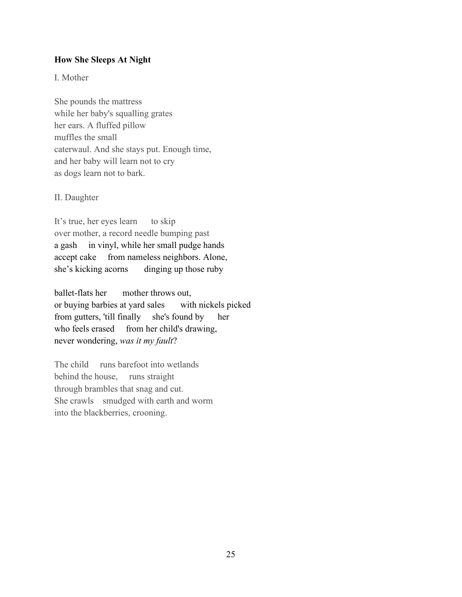## <span id="page-30-0"></span>**How She Sleeps At Night**

I. Mother

She pounds the mattress while her baby's squalling grates her ears. A fluffed pillow muffles the small caterwaul. And she stays put. Enough time, and her baby will learn not to cry as dogs learn not to bark.

II. Daughter

It's true, her eyes learn to skip over mother, a record needle bumping past a gash in vinyl, while her small pudge hands accept cake from nameless neighbors. Alone, she's kicking acorns dinging up those ruby

ballet-flats her mother throws out, or buying barbies at yard sales with nickels picked from gutters, 'till finally she's found by her who feels erased from her child's drawing, never wondering, *was it my fault*?

The child runs barefoot into wetlands behind the house, runs straight through brambles that snag and cut. She crawls smudged with earth and worm into the blackberries, crooning.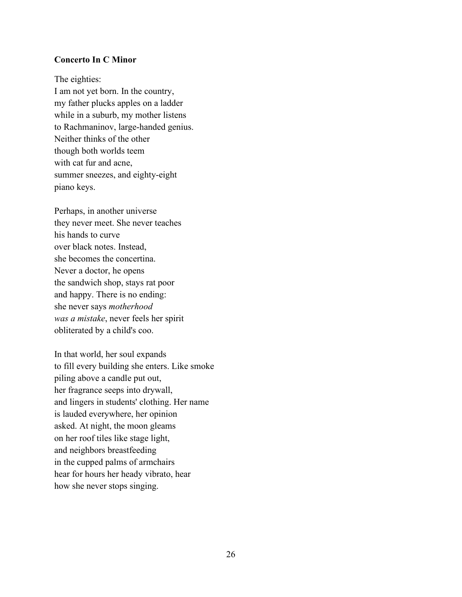## <span id="page-31-0"></span>**Concerto In C Minor**

The eighties: I am not yet born. In the country, my father plucks apples on a ladder while in a suburb, my mother listens to Rachmaninov, large-handed genius. Neither thinks of the other though both worlds teem with cat fur and acne, summer sneezes, and eighty-eight piano keys.

Perhaps, in another universe they never meet. She never teaches his hands to curve over black notes. Instead, she becomes the concertina. Never a doctor, he opens the sandwich shop, stays rat poor and happy. There is no ending: she never says *motherhood was a mistake*, never feels her spirit obliterated by a child's coo.

In that world, her soul expands to fill every building she enters. Like smoke piling above a candle put out, her fragrance seeps into drywall, and lingers in students' clothing. Her name is lauded everywhere, her opinion asked. At night, the moon gleams on her roof tiles like stage light, and neighbors breastfeeding in the cupped palms of armchairs hear for hours her heady vibrato, hear how she never stops singing.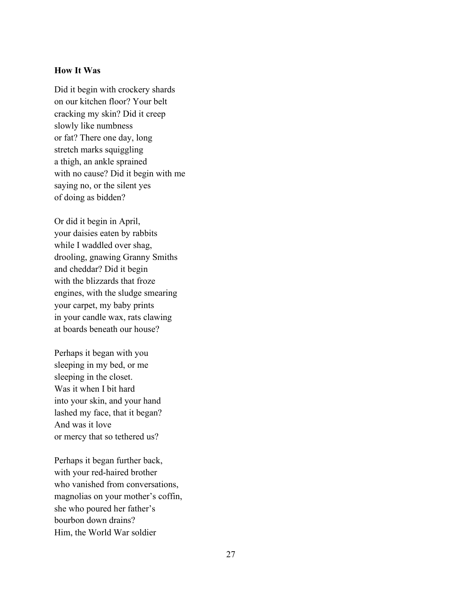## <span id="page-32-0"></span>**How It Was**

Did it begin with crockery shards on our kitchen floor? Your belt cracking my skin? Did it creep slowly like numbness or fat? There one day, long stretch marks squiggling a thigh, an ankle sprained with no cause? Did it begin with me saying no, or the silent yes of doing as bidden?

Or did it begin in April, your daisies eaten by rabbits while I waddled over shag, drooling, gnawing Granny Smiths and cheddar? Did it begin with the blizzards that froze engines, with the sludge smearing your carpet, my baby prints in your candle wax, rats clawing at boards beneath our house?

Perhaps it began with you sleeping in my bed, or me sleeping in the closet. Was it when I bit hard into your skin, and your hand lashed my face, that it began? And was it love or mercy that so tethered us?

Perhaps it began further back, with your red-haired brother who vanished from conversations, magnolias on your mother's coffin, she who poured her father's bourbon down drains? Him, the World War soldier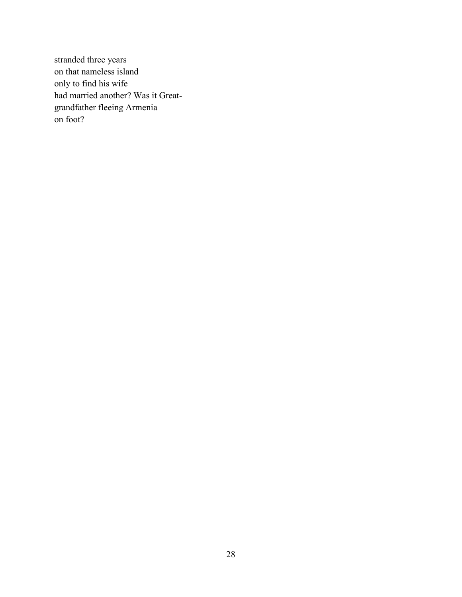stranded three years on that nameless island only to find his wife had married another? Was it Greatgrandfather fleeing Armenia on foot?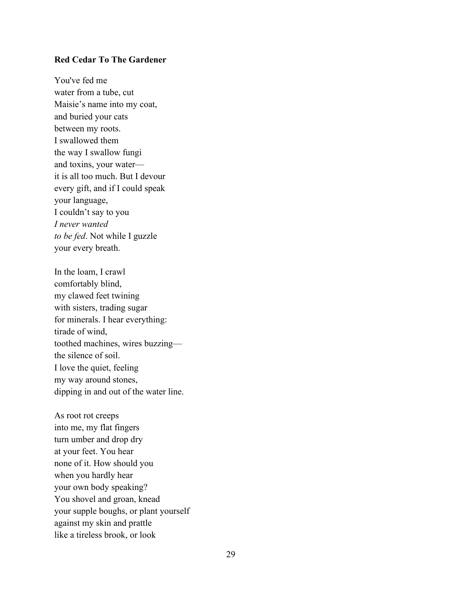#### **Red Cedar To The Gardener**

You've fed me water from a tube, cut Maisie's name into my coat, and buried your cats between my roots. I swallowed them the way I swallow fungi and toxins, your water it is all too much. But I devour every gift, and if I could speak your language, I couldn't say to you *I never wanted to be fed*. Not while I guzzle your every breath.

In the loam, I crawl comfortably blind, my clawed feet twining with sisters, trading sugar for minerals. I hear everything: tirade of wind, toothed machines, wires buzzing–– the silence of soil. I love the quiet, feeling my way around stones, dipping in and out of the water line.

As root rot creeps into me, my flat fingers turn umber and drop dry at your feet. You hear none of it. How should you when you hardly hear your own body speaking? You shovel and groan, knead your supple boughs, or plant yourself against my skin and prattle like a tireless brook, or look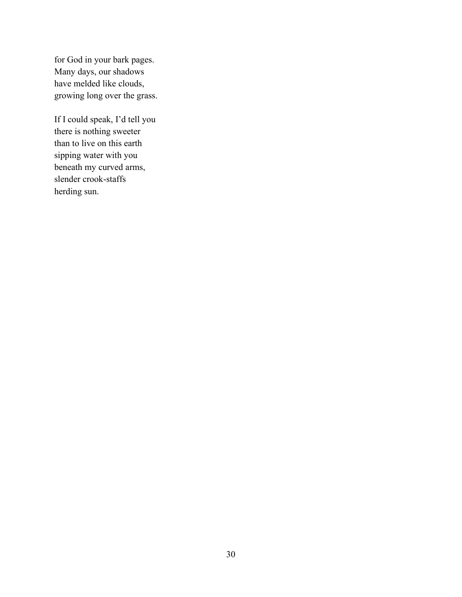for God in your bark pages. Many days, our shadows have melded like clouds, growing long over the grass.

If I could speak, I'd tell you there is nothing sweeter than to live on this earth sipping water with you beneath my curved arms, slender crook-staffs herding sun.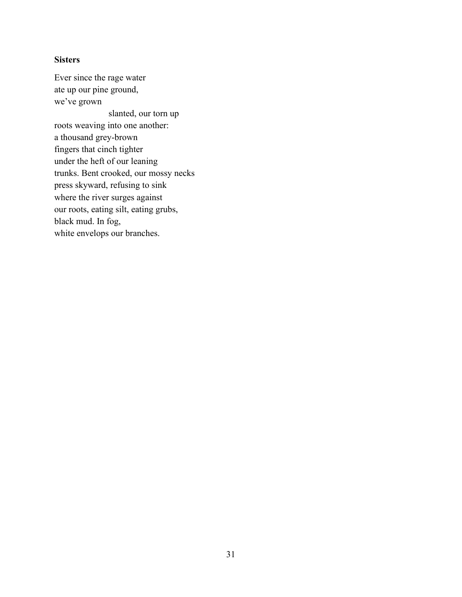# <span id="page-36-0"></span>**Sisters**

Ever since the rage water ate up our pine ground, we've grown slanted, our torn up roots weaving into one another: a thousand grey-brown fingers that cinch tighter under the heft of our leaning trunks. Bent crooked, our mossy necks press skyward, refusing to sink where the river surges against our roots, eating silt, eating grubs, black mud. In fog, white envelops our branches.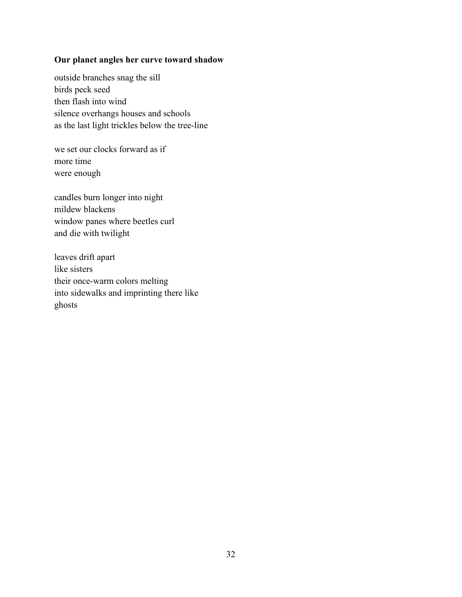# <span id="page-37-0"></span>**Our planet angles her curve toward shadow**

outside branches snag the sill birds peck seed then flash into wind silence overhangs houses and schools as the last light trickles below the tree-line

we set our clocks forward as if more time were enough

candles burn longer into night mildew blackens window panes where beetles curl and die with twilight

leaves drift apart like sisters their once-warm colors melting into sidewalks and imprinting there like ghosts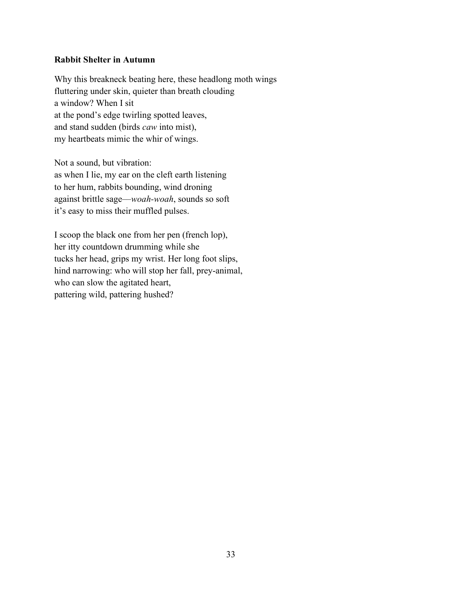## <span id="page-38-0"></span>**Rabbit Shelter in Autumn**

Why this breakneck beating here, these headlong moth wings fluttering under skin, quieter than breath clouding a window? When I sit at the pond's edge twirling spotted leaves, and stand sudden (birds *caw* into mist), my heartbeats mimic the whir of wings.

Not a sound, but vibration: as when I lie, my ear on the cleft earth listening to her hum, rabbits bounding, wind droning against brittle sage––*woah-woah*, sounds so soft it's easy to miss their muffled pulses.

I scoop the black one from her pen (french lop), her itty countdown drumming while she tucks her head, grips my wrist. Her long foot slips, hind narrowing: who will stop her fall, prey-animal, who can slow the agitated heart, pattering wild, pattering hushed?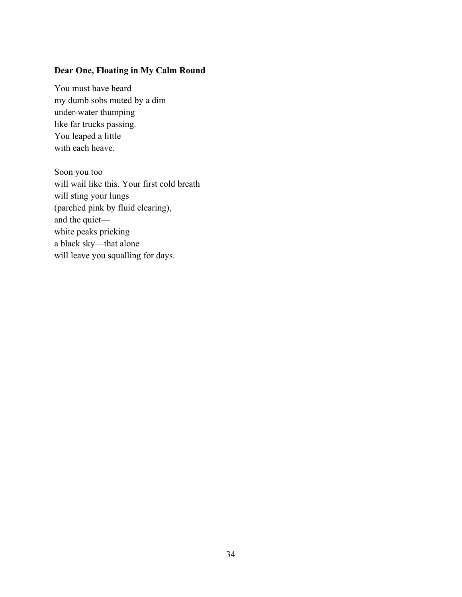# <span id="page-39-0"></span>**Dear One, Floating in My Calm Round**

You must have heard my dumb sobs muted by a dim under-water thumping like far trucks passing. You leaped a little with each heave.

Soon you too will wail like this. Your first cold breath will sting your lungs (parched pink by fluid clearing), and the quiet–– white peaks pricking a black sky—that alone will leave you squalling for days.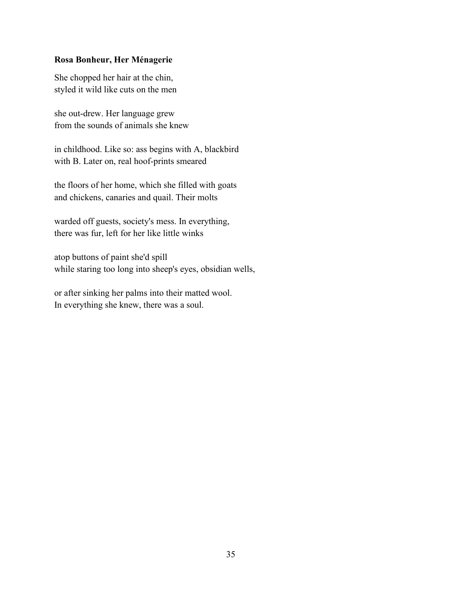## <span id="page-40-0"></span>**Rosa Bonheur, Her Ménagerie**

She chopped her hair at the chin, styled it wild like cuts on the men

she out-drew. Her language grew from the sounds of animals she knew

in childhood. Like so: ass begins with A, blackbird with B. Later on, real hoof-prints smeared

the floors of her home, which she filled with goats and chickens, canaries and quail. Their molts

warded off guests, society's mess. In everything, there was fur, left for her like little winks

atop buttons of paint she'd spill while staring too long into sheep's eyes, obsidian wells,

or after sinking her palms into their matted wool. In everything she knew, there was a soul.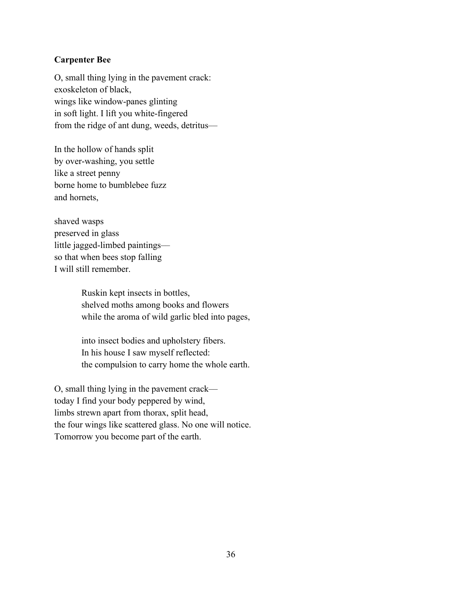# <span id="page-41-0"></span>**Carpenter Bee**

O, small thing lying in the pavement crack: exoskeleton of black, wings like window-panes glinting in soft light. I lift you white-fingered from the ridge of ant dung, weeds, detritus––

In the hollow of hands split by over-washing, you settle like a street penny borne home to bumblebee fuzz and hornets,

shaved wasps preserved in glass little jagged-limbed paintings–– so that when bees stop falling I will still remember.

> Ruskin kept insects in bottles, shelved moths among books and flowers while the aroma of wild garlic bled into pages,

> into insect bodies and upholstery fibers. In his house I saw myself reflected: the compulsion to carry home the whole earth.

O, small thing lying in the pavement crack–– today I find your body peppered by wind, limbs strewn apart from thorax, split head, the four wings like scattered glass. No one will notice. Tomorrow you become part of the earth.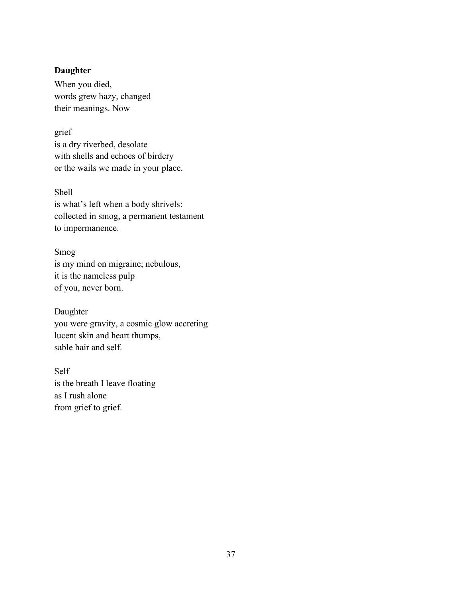## <span id="page-42-0"></span>**Daughter**

When you died, words grew hazy, changed their meanings. Now

grief is a dry riverbed, desolate with shells and echoes of birdcry or the wails we made in your place.

Shell is what's left when a body shrivels: collected in smog, a permanent testament to impermanence.

Smog is my mind on migraine; nebulous, it is the nameless pulp of you, never born.

Daughter you were gravity, a cosmic glow accreting lucent skin and heart thumps, sable hair and self.

Self is the breath I leave floating as I rush alone from grief to grief.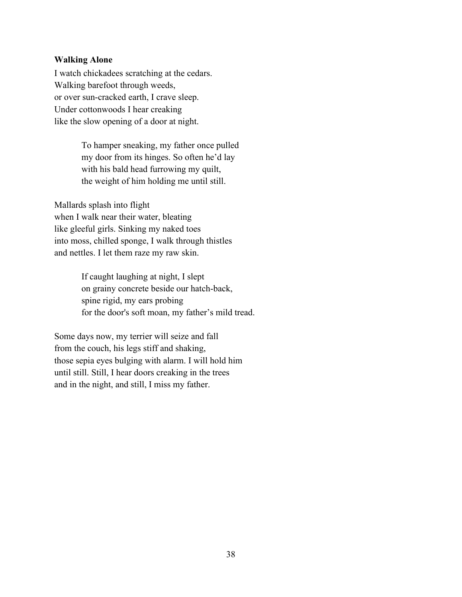#### <span id="page-43-0"></span>**Walking Alone**

I watch chickadees scratching at the cedars. Walking barefoot through weeds, or over sun-cracked earth, I crave sleep. Under cottonwoods I hear creaking like the slow opening of a door at night.

> To hamper sneaking, my father once pulled my door from its hinges. So often he'd lay with his bald head furrowing my quilt, the weight of him holding me until still.

Mallards splash into flight when I walk near their water, bleating like gleeful girls. Sinking my naked toes into moss, chilled sponge, I walk through thistles and nettles. I let them raze my raw skin.

> If caught laughing at night, I slept on grainy concrete beside our hatch-back, spine rigid, my ears probing for the door's soft moan, my father's mild tread.

Some days now, my terrier will seize and fall from the couch, his legs stiff and shaking, those sepia eyes bulging with alarm. I will hold him until still. Still, I hear doors creaking in the trees and in the night, and still, I miss my father.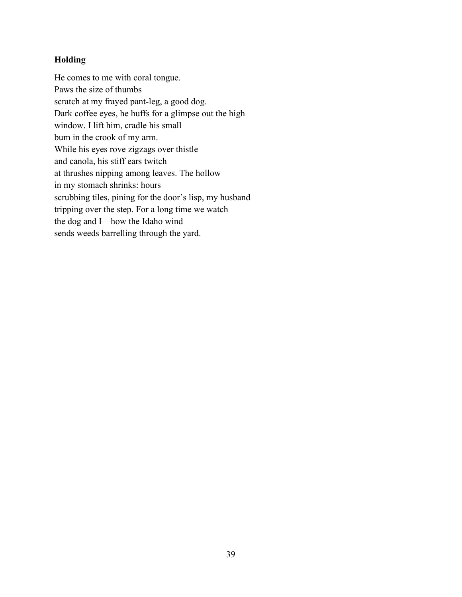# <span id="page-44-0"></span>**Holding**

He comes to me with coral tongue. Paws the size of thumbs scratch at my frayed pant-leg, a good dog. Dark coffee eyes, he huffs for a glimpse out the high window. I lift him, cradle his small bum in the crook of my arm. While his eyes rove zigzags over thistle and canola, his stiff ears twitch at thrushes nipping among leaves. The hollow in my stomach shrinks: hours scrubbing tiles, pining for the door's lisp, my husband tripping over the step. For a long time we watch–– the dog and I––how the Idaho wind sends weeds barrelling through the yard.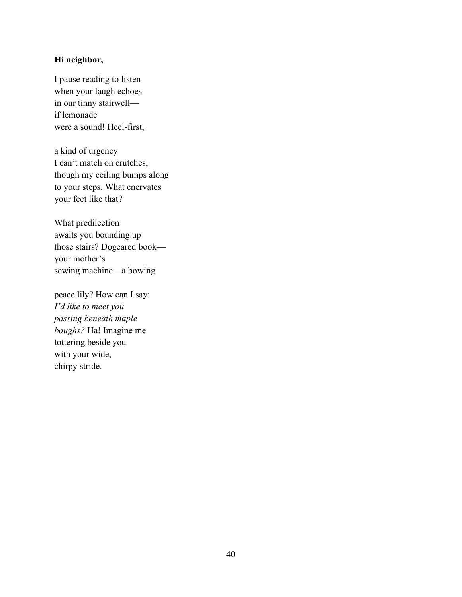# <span id="page-45-0"></span>**Hi neighbor,**

I pause reading to listen when your laugh echoes in our tinny stairwell–– if lemonade were a sound! Heel-first,

a kind of urgency I can't match on crutches, though my ceiling bumps along to your steps. What enervates your feet like that?

What predilection awaits you bounding up those stairs? Dogeared book–– your mother's sewing machine––a bowing

peace lily? How can I say: *I'd like to meet you passing beneath maple boughs?* Ha! Imagine me tottering beside you with your wide, chirpy stride.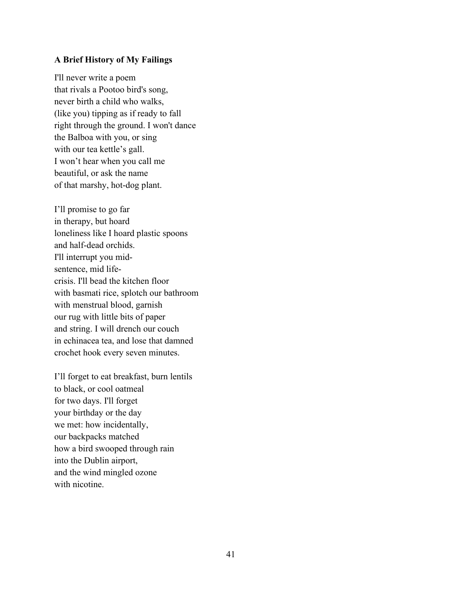#### <span id="page-46-0"></span>**A Brief History of My Failings**

I'll never write a poem that rivals a Pootoo bird's song, never birth a child who walks, (like you) tipping as if ready to fall right through the ground. I won't dance the Balboa with you, or sing with our tea kettle's gall. I won't hear when you call me beautiful, or ask the name of that marshy, hot-dog plant.

I'll promise to go far in therapy, but hoard loneliness like I hoard plastic spoons and half-dead orchids. I'll interrupt you midsentence, mid lifecrisis. I'll bead the kitchen floor with basmati rice, splotch our bathroom with menstrual blood, garnish our rug with little bits of paper and string. I will drench our couch in echinacea tea, and lose that damned crochet hook every seven minutes.

I'll forget to eat breakfast, burn lentils to black, or cool oatmeal for two days. I'll forget your birthday or the day we met: how incidentally, our backpacks matched how a bird swooped through rain into the Dublin airport, and the wind mingled ozone with nicotine.